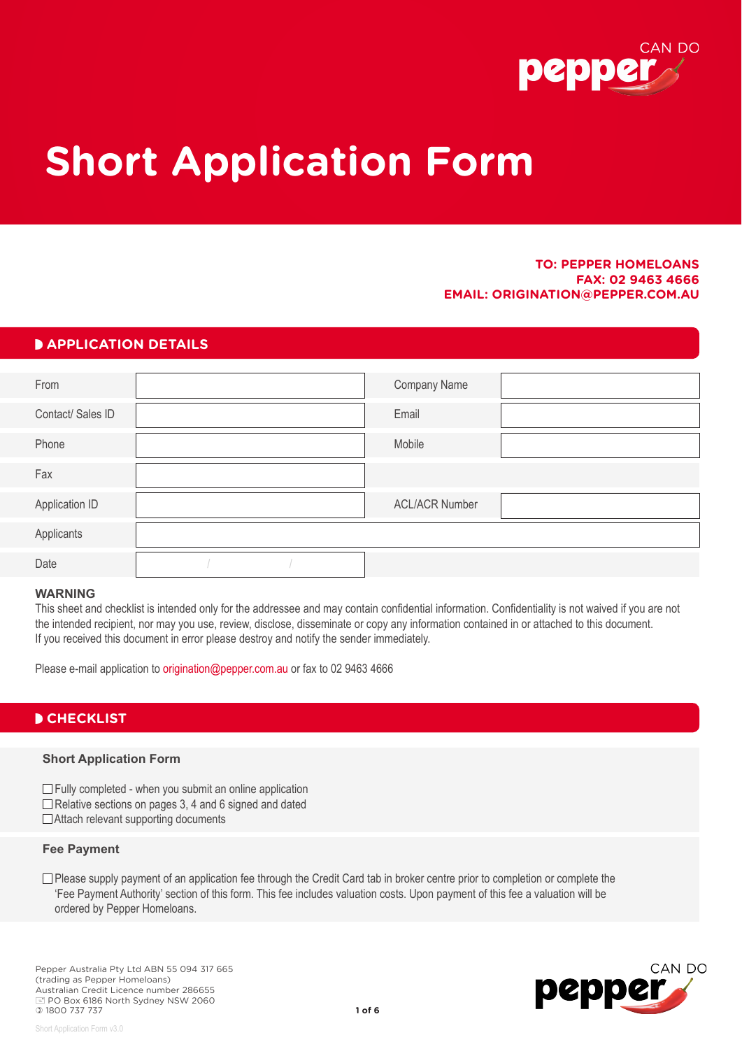

# **Short Application Form**

#### **TO: PEPPER HOMELOANS FAX: 02 9463 4666 EMAIL: ORIGINATION@PEPPER.COM.AU**

#### **PAPPLICATION DETAILS**

| From              |  | Company Name          |  |
|-------------------|--|-----------------------|--|
| Contact/ Sales ID |  | Email                 |  |
| Phone             |  | Mobile                |  |
| Fax               |  |                       |  |
| Application ID    |  | <b>ACL/ACR Number</b> |  |
| Applicants        |  |                       |  |
| Date              |  |                       |  |

#### **WARNING**

This sheet and checklist is intended only for the addressee and may contain confidential information. Confidentiality is not waived if you are not the intended recipient, nor may you use, review, disclose, disseminate or copy any information contained in or attached to this document. If you received this document in error please destroy and notify the sender immediately.

Please e-mail application to origination@pepper.com.au or fax to 02 9463 4666

#### **D CHECKLIST**

#### **Short Application Form**

 $\Box$  Fully completed - when you submit an online application  $\Box$  Relative sections on pages 3, 4 and 6 signed and dated □Attach relevant supporting documents

#### **Fee Payment**

Short Application Form v3.0

□ Please supply payment of an application fee through the Credit Card tab in broker centre prior to completion or complete the 'Fee Payment Authority' section of this form. This fee includes valuation costs. Upon payment of this fee a valuation will be ordered by Pepper Homeloans.

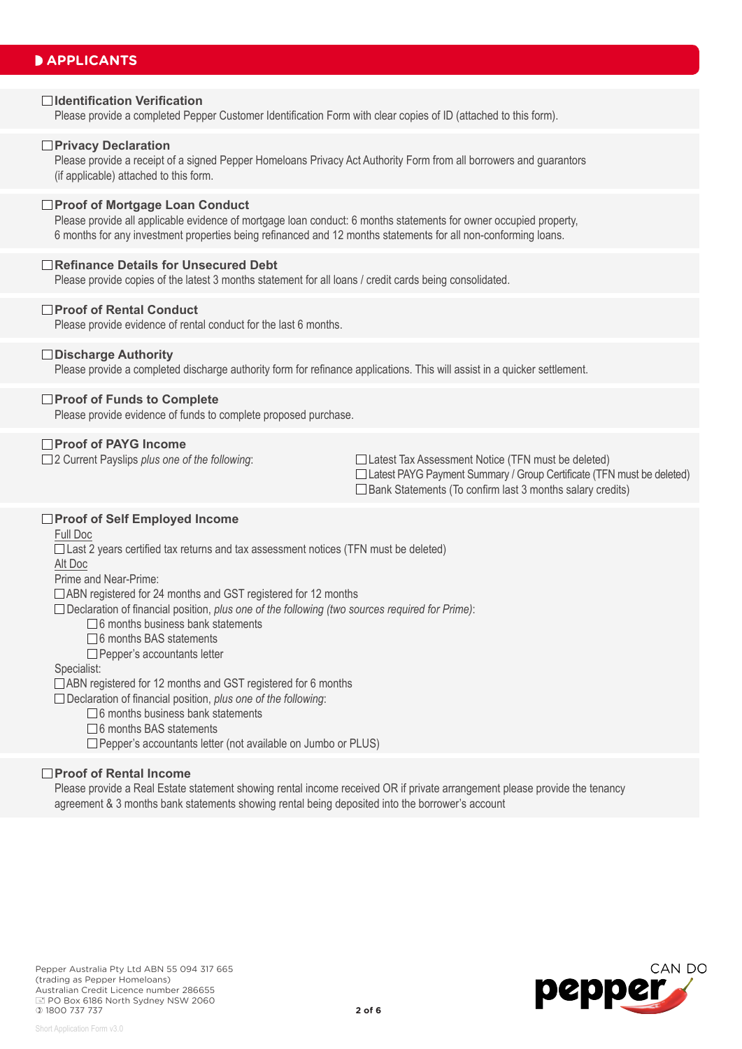### **PAPPLICANTS**

#### **Identification Verification**

Please provide a completed Pepper Customer Identification Form with clear copies of ID (attached to this form).

#### **Privacy Declaration**

Please provide a receipt of a signed Pepper Homeloans Privacy Act Authority Form from all borrowers and guarantors (if applicable) attached to this form.

#### **Proof of Mortgage Loan Conduct**

Please provide all applicable evidence of mortgage loan conduct: 6 months statements for owner occupied property, 6 months for any investment properties being refinanced and 12 months statements for all non-conforming loans.

#### **Refinance Details for Unsecured Debt**

Please provide copies of the latest 3 months statement for all loans / credit cards being consolidated.

#### **Proof of Rental Conduct**

Please provide evidence of rental conduct for the last 6 months.

#### **Discharge Authority**

Please provide a completed discharge authority form for refinance applications. This will assist in a quicker settlement.

#### **Proof of Funds to Complete**

Please provide evidence of funds to complete proposed purchase.

#### **Proof of PAYG Income**

□ 2 Current Payslips *plus one of the following*: □ □ Latest Tax Assessment Notice (TFN must be deleted) □ Latest PAYG Payment Summary / Group Certificate (TFN must be deleted)  $\Box$  Bank Statements (To confirm last 3 months salary credits)

#### **Proof of Self Employed Income**

Full Doc

□ Last 2 years certified tax returns and tax assessment notices (TFN must be deleted)

Alt Doc

Prime and Near-Prime:

□ ABN registered for 24 months and GST registered for 12 months

Declaration of financial position, *plus one of the following (two sources required for Prime)*:

 $\Box$  6 months business bank statements

- $\Box$  6 months BAS statements
- Pepper's accountants letter

#### Specialist:

□ ABN registered for 12 months and GST registered for 6 months

Declaration of financial position, *plus one of the following*:

- $\Box$  6 months business bank statements
- □6 months BAS statements

□ Pepper's accountants letter (not available on Jumbo or PLUS)

#### **Proof of Rental Income**

Please provide a Real Estate statement showing rental income received OR if private arrangement please provide the tenancy agreement & 3 months bank statements showing rental being deposited into the borrower's account

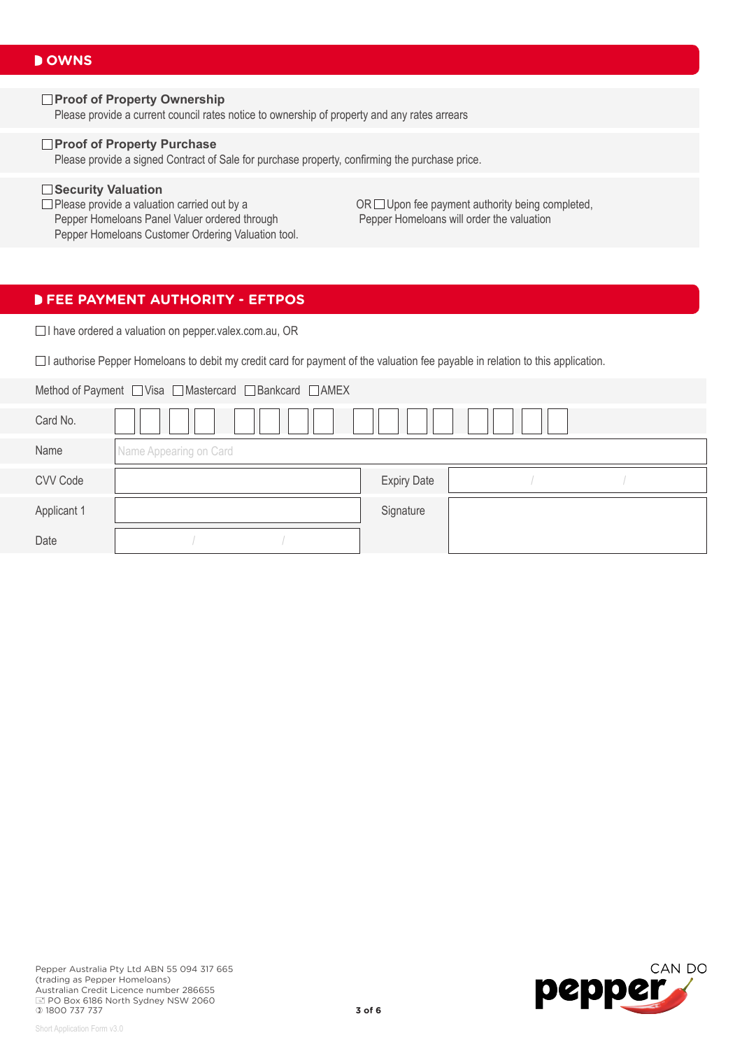#### □Proof of Property Ownership

Please provide a current council rates notice to ownership of property and any rates arrears

#### **Proof of Property Purchase**

Please provide a signed Contract of Sale for purchase property, confirming the purchase price.

□ **Security Valuation**<br>□ Please provide a valuation carried out by a Pepper Homeloans Panel Valuer ordered through Pepper Homeloans Customer Ordering Valuation tool.

OR  $\Box$  Upon fee payment authority being completed, Pepper Homeloans will order the valuation

#### **FEE PAYMENT AUTHORITY - EFTPOS**

□ I have ordered a valuation on pepper.valex.com.au, OR

 $\Box$  I authorise Pepper Homeloans to debit my credit card for payment of the valuation fee payable in relation to this application.

| Method of Payment □ Visa □ Mastercard □ Bankcard □ AMEX |                        |                    |  |  |  |
|---------------------------------------------------------|------------------------|--------------------|--|--|--|
| Card No.                                                |                        |                    |  |  |  |
| Name                                                    | Name Appearing on Card |                    |  |  |  |
| CVV Code                                                |                        | <b>Expiry Date</b> |  |  |  |
| Applicant 1                                             |                        | Signature          |  |  |  |
| Date                                                    |                        |                    |  |  |  |

Short Application Form v3.0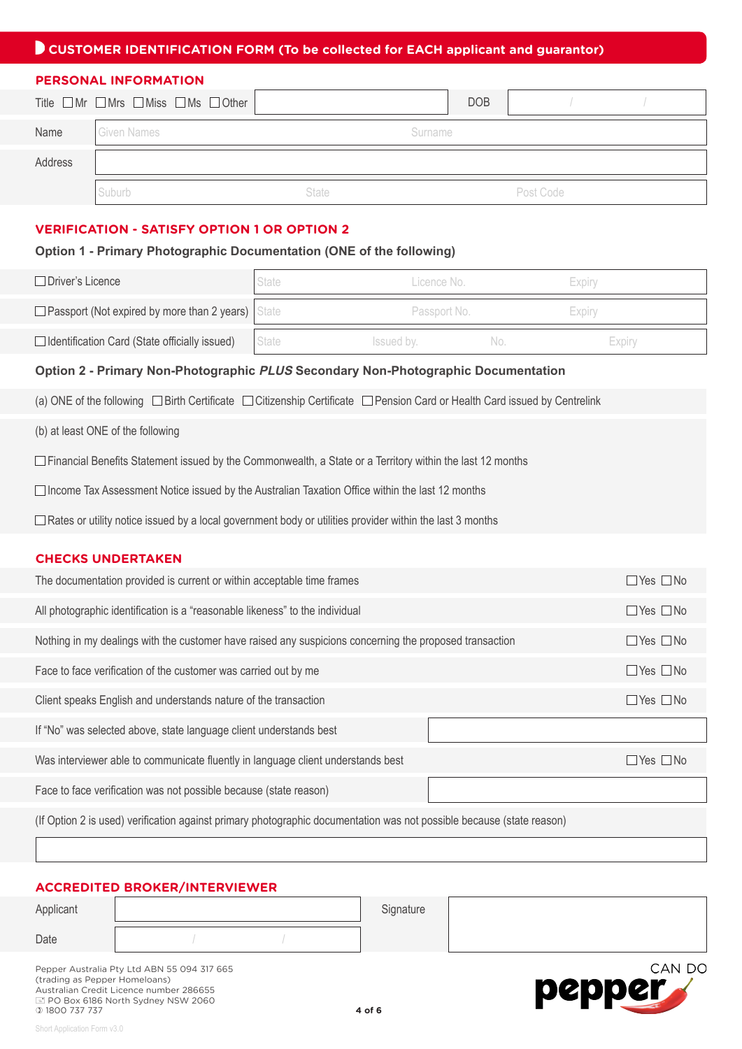## **CUSTOMER IDENTIFICATION FORM (To be collected for EACH applicant and guarantor)**

#### **PERSONAL INFORMATION**

|         | Title $\Box$ Mr $\Box$ Mrs $\Box$ Miss $\Box$ Ms $\Box$ Other |         | <b>DOB</b> |           |  |
|---------|---------------------------------------------------------------|---------|------------|-----------|--|
| Name    | <b>Given Names</b>                                            | Surname |            |           |  |
| Address |                                                               |         |            |           |  |
|         | Suburb                                                        | State   |            | Post Code |  |

#### **VERIFICATION - SATISFY OPTION 1 OR OPTION 2**

#### **Option 1 - Primary Photographic Documentation (ONE of the following)**

| □ Driver's Licence                                                                                                              | <b>State</b> | Licence No.  |     | Expiry               |  |  |  |
|---------------------------------------------------------------------------------------------------------------------------------|--------------|--------------|-----|----------------------|--|--|--|
| □ Passport (Not expired by more than 2 years)                                                                                   | State        | Passport No. |     | Expiry               |  |  |  |
| □ Identification Card (State officially issued)                                                                                 | State        | Issued by.   | No. | Expiry               |  |  |  |
| Option 2 - Primary Non-Photographic PLUS Secondary Non-Photographic Documentation                                               |              |              |     |                      |  |  |  |
| (a) ONE of the following □ Birth Certificate □ Citizenship Certificate □ Pension Card or Health Card issued by Centrelink       |              |              |     |                      |  |  |  |
| (b) at least ONE of the following                                                                                               |              |              |     |                      |  |  |  |
| $\Box$ Financial Benefits Statement issued by the Commonwealth, a State or a Territory within the last 12 months                |              |              |     |                      |  |  |  |
| $\Box$ Income Tax Assessment Notice issued by the Australian Taxation Office within the last 12 months                          |              |              |     |                      |  |  |  |
| $\Box$ Rates or utility notice issued by a local government body or utilities provider within the last 3 months                 |              |              |     |                      |  |  |  |
| <b>CHECKS UNDERTAKEN</b>                                                                                                        |              |              |     |                      |  |  |  |
| The documentation provided is current or within acceptable time frames<br>$\Box$ Yes $\Box$ No                                  |              |              |     |                      |  |  |  |
| All photographic identification is a "reasonable likeness" to the individual<br>$\Box$ Yes $\Box$ No                            |              |              |     |                      |  |  |  |
| Nothing in my dealings with the customer have raised any suspicions concerning the proposed transaction<br>$\Box$ Yes $\Box$ No |              |              |     |                      |  |  |  |
| Face to face verification of the customer was carried out by me<br>$\Box$ Yes $\Box$ No                                         |              |              |     |                      |  |  |  |
| Client speaks English and understands nature of the transaction<br>$\Box$ Yes $\Box$ No                                         |              |              |     |                      |  |  |  |
| If "No" was selected above, state language client understands best                                                              |              |              |     |                      |  |  |  |
| Was interviewer able to communicate fluently in language client understands best                                                |              |              |     | $\Box$ Yes $\Box$ No |  |  |  |
| Face to face verification was not possible because (state reason)                                                               |              |              |     |                      |  |  |  |
| (If Option 2 is used) verification against primary photographic documentation was not possible because (state reason)           |              |              |     |                      |  |  |  |

#### **ACCREDITED BROKER/INTERVIEWER**

| Applicant | Signature |         |
|-----------|-----------|---------|
| Date      |           |         |
|           |           | ------- |

Short Application Form v3.0

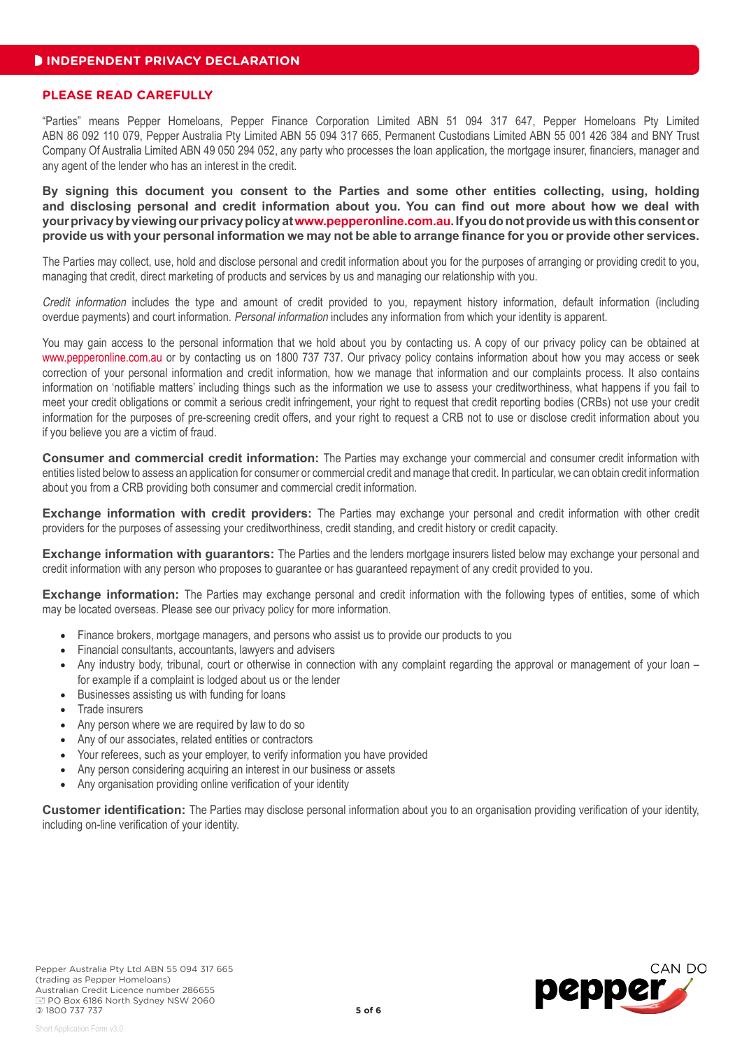#### **PLEASE READ CAREFULLY**

"Parties" means Pepper Homeloans, Pepper Finance Corporation Limited ABN 51 094 317 647, Pepper Homeloans Pty Limited ABN 86 092 110 079, Pepper Australia Pty Limited ABN 55 094 317 665, Permanent Custodians Limited ABN 55 001 426 384 and BNY Trust Company Of Australia Limited ABN 49 050 294 052, any party who processes the loan application, the mortgage insurer, financiers, manager and any agent of the lender who has an interest in the credit.

**By signing this document you consent to the Parties and some other entities collecting, using, holding and disclosing personal and credit information about you. You can find out more about how we deal with your privacy by viewing our privacy policy at www.pepperonline.com.au. If you do not provide us with this consent or provide us with your personal information we may not be able to arrange finance for you or provide other services.** 

The Parties may collect, use, hold and disclose personal and credit information about you for the purposes of arranging or providing credit to you, managing that credit, direct marketing of products and services by us and managing our relationship with you.

Credit information includes the type and amount of credit provided to you, repayment history information, default information (including overdue payments) and court information. Personal information includes any information from which your identity is apparent.

You may gain access to the personal information that we hold about you by contacting us. A copy of our privacy policy can be obtained at www.pepperonline.com.au or by contacting us on 1800 737 737. Our privacy policy contains information about how you may access or seek correction of your personal information and credit information, how we manage that information and our complaints process. It also contains information on 'notifiable matters' including things such as the information we use to assess your creditworthiness, what happens if you fail to meet your credit obligations or commit a serious credit infringement, your right to request that credit reporting bodies (CRBs) not use your credit information for the purposes of pre-screening credit offers, and your right to request a CRB not to use or disclose credit information about you if you believe you are a victim of fraud.

**Consumer and commercial credit information:** The Parties may exchange your commercial and consumer credit information with entities listed below to assess an application for consumer or commercial credit and manage that credit. In particular, we can obtain credit information about you from a CRB providing both consumer and commercial credit information.

**Exchange information with credit providers:** The Parties may exchange your personal and credit information with other credit providers for the purposes of assessing your creditworthiness, credit standing, and credit history or credit capacity.

**Exchange information with guarantors:** The Parties and the lenders mortgage insurers listed below may exchange your personal and credit information with any person who proposes to guarantee or has guaranteed repayment of any credit provided to you.

**Exchange information:** The Parties may exchange personal and credit information with the following types of entities, some of which may be located overseas. Please see our privacy policy for more information.

- Finance brokers, mortgage managers, and persons who assist us to provide our products to you
- Financial consultants, accountants, lawyers and advisers
- Any industry body, tribunal, court or otherwise in connection with any complaint regarding the approval or management of your loan for example if a complaint is lodged about us or the lender
- Businesses assisting us with funding for loans
- Trade insurers
- Any person where we are required by law to do so
- Any of our associates, related entities or contractors
- Your referees, such as your employer, to verify information you have provided
- Any person considering acquiring an interest in our business or assets
- Any organisation providing online verification of your identity

**Customer identification:** The Parties may disclose personal information about you to an organisation providing verification of your identity, including on-line verification of your identity.